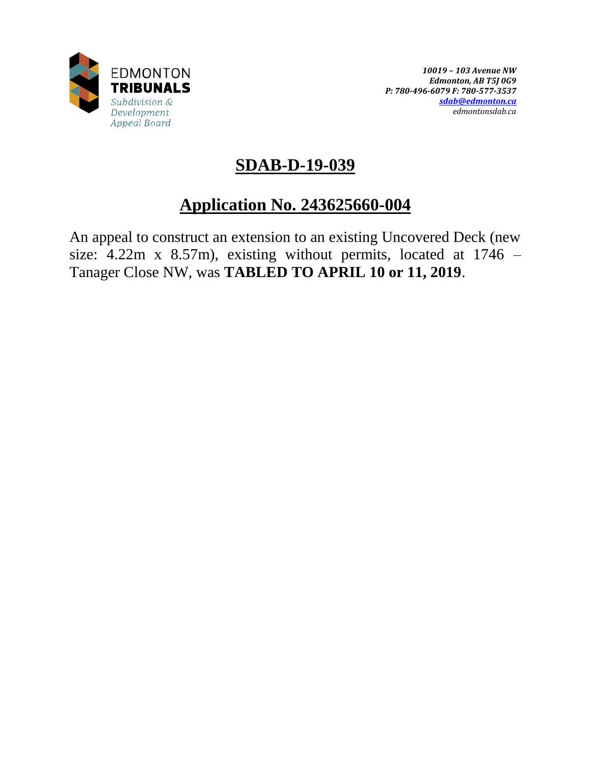

# **SDAB-D-19-039**

# **Application No. 243625660-004**

An appeal to construct an extension to an existing Uncovered Deck (new size: 4.22m x 8.57m), existing without permits, located at 1746 – Tanager Close NW, was **TABLED TO APRIL 10 or 11, 2019**.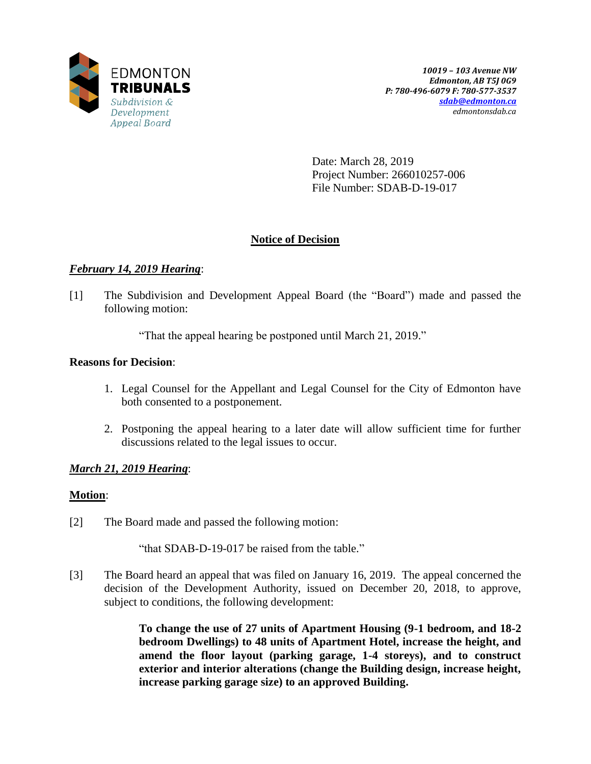

Date: March 28, 2019 Project Number: 266010257-006 File Number: SDAB-D-19-017

# **Notice of Decision**

# *February 14, 2019 Hearing*:

[1] The Subdivision and Development Appeal Board (the "Board") made and passed the following motion:

"That the appeal hearing be postponed until March 21, 2019."

## **Reasons for Decision**:

- 1. Legal Counsel for the Appellant and Legal Counsel for the City of Edmonton have both consented to a postponement.
- 2. Postponing the appeal hearing to a later date will allow sufficient time for further discussions related to the legal issues to occur.

# *March 21, 2019 Hearing*:

## **Motion**:

[2] The Board made and passed the following motion:

"that SDAB-D-19-017 be raised from the table."

[3] The Board heard an appeal that was filed on January 16, 2019. The appeal concerned the decision of the Development Authority, issued on December 20, 2018, to approve, subject to conditions, the following development:

> **To change the use of 27 units of Apartment Housing (9-1 bedroom, and 18-2 bedroom Dwellings) to 48 units of Apartment Hotel, increase the height, and amend the floor layout (parking garage, 1-4 storeys), and to construct exterior and interior alterations (change the Building design, increase height, increase parking garage size) to an approved Building.**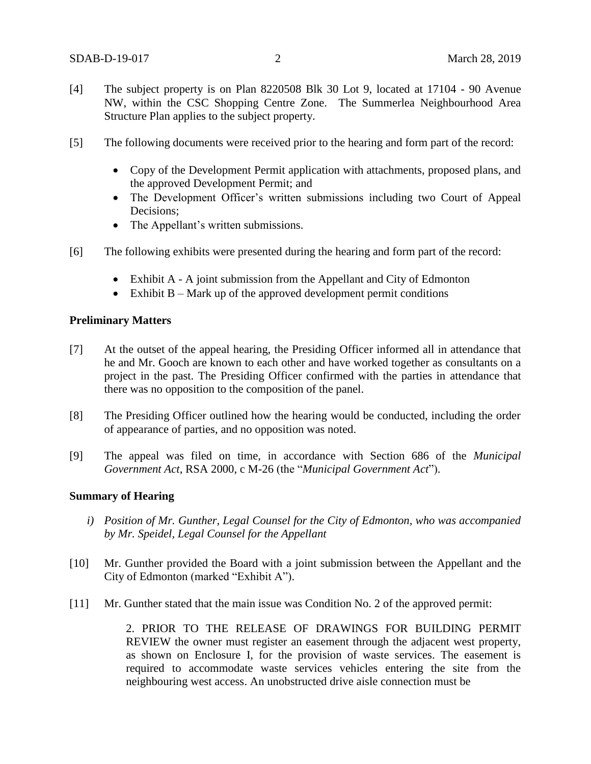- [4] The subject property is on Plan 8220508 Blk 30 Lot 9, located at 17104 90 Avenue NW, within the CSC Shopping Centre Zone. The Summerlea Neighbourhood Area Structure Plan applies to the subject property.
- [5] The following documents were received prior to the hearing and form part of the record:
	- Copy of the Development Permit application with attachments, proposed plans, and the approved Development Permit; and
	- The Development Officer's written submissions including two Court of Appeal Decisions;
	- The Appellant's written submissions.
- [6] The following exhibits were presented during the hearing and form part of the record:
	- Exhibit A A joint submission from the Appellant and City of Edmonton
	- $\bullet$  Exhibit B Mark up of the approved development permit conditions

#### **Preliminary Matters**

- [7] At the outset of the appeal hearing, the Presiding Officer informed all in attendance that he and Mr. Gooch are known to each other and have worked together as consultants on a project in the past. The Presiding Officer confirmed with the parties in attendance that there was no opposition to the composition of the panel.
- [8] The Presiding Officer outlined how the hearing would be conducted, including the order of appearance of parties, and no opposition was noted.
- [9] The appeal was filed on time, in accordance with Section 686 of the *Municipal Government Act*, RSA 2000, c M-26 (the "*Municipal Government Act*").

#### **Summary of Hearing**

- *i) Position of Mr. Gunther, Legal Counsel for the City of Edmonton, who was accompanied by Mr. Speidel, Legal Counsel for the Appellant*
- [10] Mr. Gunther provided the Board with a joint submission between the Appellant and the City of Edmonton (marked "Exhibit A").
- [11] Mr. Gunther stated that the main issue was Condition No. 2 of the approved permit:

2. PRIOR TO THE RELEASE OF DRAWINGS FOR BUILDING PERMIT REVIEW the owner must register an easement through the adjacent west property, as shown on Enclosure I, for the provision of waste services. The easement is required to accommodate waste services vehicles entering the site from the neighbouring west access. An unobstructed drive aisle connection must be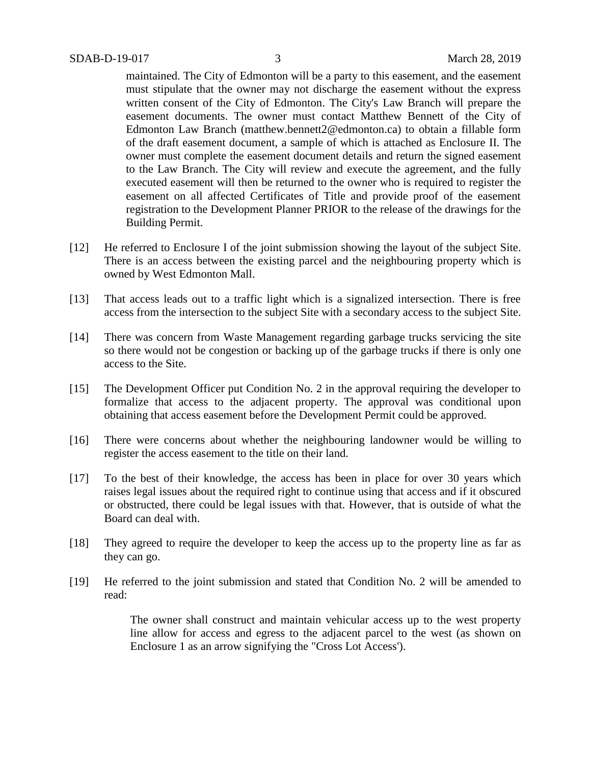maintained. The City of Edmonton will be a party to this easement, and the easement must stipulate that the owner may not discharge the easement without the express written consent of the City of Edmonton. The City's Law Branch will prepare the easement documents. The owner must contact Matthew Bennett of the City of Edmonton Law Branch (matthew.bennett2@edmonton.ca) to obtain a fillable form of the draft easement document, a sample of which is attached as Enclosure II. The owner must complete the easement document details and return the signed easement to the Law Branch. The City will review and execute the agreement, and the fully executed easement will then be returned to the owner who is required to register the easement on all affected Certificates of Title and provide proof of the easement registration to the Development Planner PRIOR to the release of the drawings for the Building Permit.

- [12] He referred to Enclosure I of the joint submission showing the layout of the subject Site. There is an access between the existing parcel and the neighbouring property which is owned by West Edmonton Mall.
- [13] That access leads out to a traffic light which is a signalized intersection. There is free access from the intersection to the subject Site with a secondary access to the subject Site.
- [14] There was concern from Waste Management regarding garbage trucks servicing the site so there would not be congestion or backing up of the garbage trucks if there is only one access to the Site.
- [15] The Development Officer put Condition No. 2 in the approval requiring the developer to formalize that access to the adjacent property. The approval was conditional upon obtaining that access easement before the Development Permit could be approved.
- [16] There were concerns about whether the neighbouring landowner would be willing to register the access easement to the title on their land.
- [17] To the best of their knowledge, the access has been in place for over 30 years which raises legal issues about the required right to continue using that access and if it obscured or obstructed, there could be legal issues with that. However, that is outside of what the Board can deal with.
- [18] They agreed to require the developer to keep the access up to the property line as far as they can go.
- [19] He referred to the joint submission and stated that Condition No. 2 will be amended to read:

The owner shall construct and maintain vehicular access up to the west property line allow for access and egress to the adjacent parcel to the west (as shown on Enclosure 1 as an arrow signifying the "Cross Lot Access').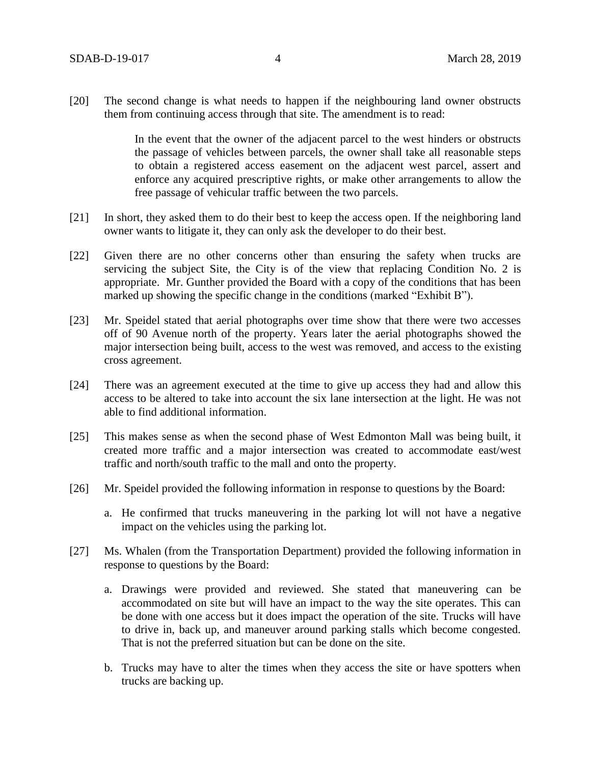[20] The second change is what needs to happen if the neighbouring land owner obstructs them from continuing access through that site. The amendment is to read:

> In the event that the owner of the adjacent parcel to the west hinders or obstructs the passage of vehicles between parcels, the owner shall take all reasonable steps to obtain a registered access easement on the adjacent west parcel, assert and enforce any acquired prescriptive rights, or make other arrangements to allow the free passage of vehicular traffic between the two parcels.

- [21] In short, they asked them to do their best to keep the access open. If the neighboring land owner wants to litigate it, they can only ask the developer to do their best.
- [22] Given there are no other concerns other than ensuring the safety when trucks are servicing the subject Site, the City is of the view that replacing Condition No. 2 is appropriate. Mr. Gunther provided the Board with a copy of the conditions that has been marked up showing the specific change in the conditions (marked "Exhibit B").
- [23] Mr. Speidel stated that aerial photographs over time show that there were two accesses off of 90 Avenue north of the property. Years later the aerial photographs showed the major intersection being built, access to the west was removed, and access to the existing cross agreement.
- [24] There was an agreement executed at the time to give up access they had and allow this access to be altered to take into account the six lane intersection at the light. He was not able to find additional information.
- [25] This makes sense as when the second phase of West Edmonton Mall was being built, it created more traffic and a major intersection was created to accommodate east/west traffic and north/south traffic to the mall and onto the property.
- [26] Mr. Speidel provided the following information in response to questions by the Board:
	- a. He confirmed that trucks maneuvering in the parking lot will not have a negative impact on the vehicles using the parking lot.
- [27] Ms. Whalen (from the Transportation Department) provided the following information in response to questions by the Board:
	- a. Drawings were provided and reviewed. She stated that maneuvering can be accommodated on site but will have an impact to the way the site operates. This can be done with one access but it does impact the operation of the site. Trucks will have to drive in, back up, and maneuver around parking stalls which become congested. That is not the preferred situation but can be done on the site.
	- b. Trucks may have to alter the times when they access the site or have spotters when trucks are backing up.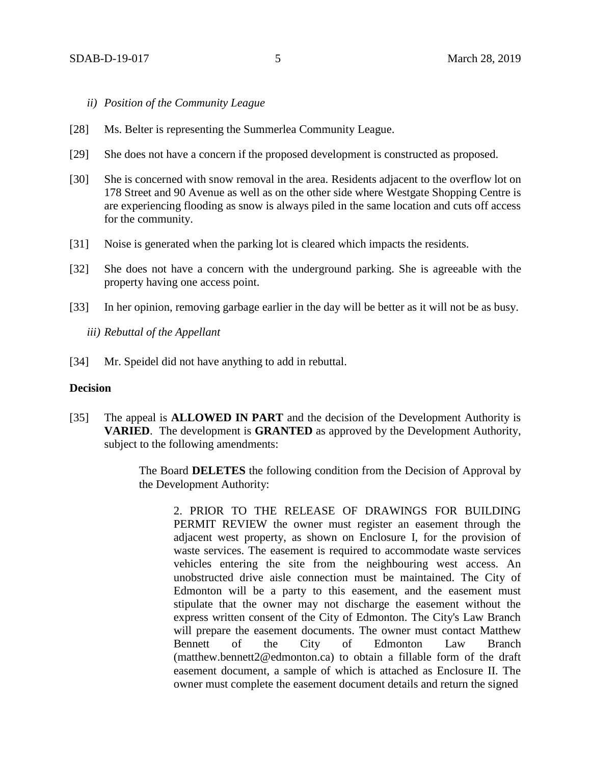- *ii) Position of the Community League*
- [28] Ms. Belter is representing the Summerlea Community League.
- [29] She does not have a concern if the proposed development is constructed as proposed.
- [30] She is concerned with snow removal in the area. Residents adjacent to the overflow lot on 178 Street and 90 Avenue as well as on the other side where Westgate Shopping Centre is are experiencing flooding as snow is always piled in the same location and cuts off access for the community.
- [31] Noise is generated when the parking lot is cleared which impacts the residents.
- [32] She does not have a concern with the underground parking. She is agreeable with the property having one access point.
- [33] In her opinion, removing garbage earlier in the day will be better as it will not be as busy.
	- *iii) Rebuttal of the Appellant*
- [34] Mr. Speidel did not have anything to add in rebuttal.

### **Decision**

[35] The appeal is **ALLOWED IN PART** and the decision of the Development Authority is **VARIED**. The development is **GRANTED** as approved by the Development Authority, subject to the following amendments:

> The Board **DELETES** the following condition from the Decision of Approval by the Development Authority:

2. PRIOR TO THE RELEASE OF DRAWINGS FOR BUILDING PERMIT REVIEW the owner must register an easement through the adjacent west property, as shown on Enclosure I, for the provision of waste services. The easement is required to accommodate waste services vehicles entering the site from the neighbouring west access. An unobstructed drive aisle connection must be maintained. The City of Edmonton will be a party to this easement, and the easement must stipulate that the owner may not discharge the easement without the express written consent of the City of Edmonton. The City's Law Branch will prepare the easement documents. The owner must contact Matthew Bennett of the City of Edmonton Law Branch (matthew.bennett2@edmonton.ca) to obtain a fillable form of the draft easement document, a sample of which is attached as Enclosure II. The owner must complete the easement document details and return the signed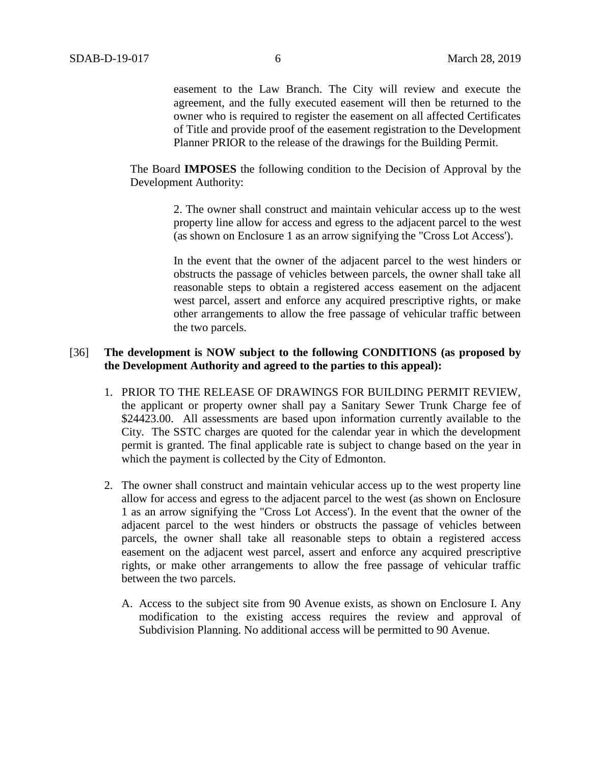easement to the Law Branch. The City will review and execute the agreement, and the fully executed easement will then be returned to the owner who is required to register the easement on all affected Certificates of Title and provide proof of the easement registration to the Development Planner PRIOR to the release of the drawings for the Building Permit.

The Board **IMPOSES** the following condition to the Decision of Approval by the Development Authority:

> 2. The owner shall construct and maintain vehicular access up to the west property line allow for access and egress to the adjacent parcel to the west (as shown on Enclosure 1 as an arrow signifying the "Cross Lot Access').

> In the event that the owner of the adjacent parcel to the west hinders or obstructs the passage of vehicles between parcels, the owner shall take all reasonable steps to obtain a registered access easement on the adjacent west parcel, assert and enforce any acquired prescriptive rights, or make other arrangements to allow the free passage of vehicular traffic between the two parcels.

## [36] **The development is NOW subject to the following CONDITIONS (as proposed by the Development Authority and agreed to the parties to this appeal):**

- 1. PRIOR TO THE RELEASE OF DRAWINGS FOR BUILDING PERMIT REVIEW, the applicant or property owner shall pay a Sanitary Sewer Trunk Charge fee of \$24423.00. All assessments are based upon information currently available to the City. The SSTC charges are quoted for the calendar year in which the development permit is granted. The final applicable rate is subject to change based on the year in which the payment is collected by the City of Edmonton.
- 2. The owner shall construct and maintain vehicular access up to the west property line allow for access and egress to the adjacent parcel to the west (as shown on Enclosure 1 as an arrow signifying the "Cross Lot Access'). In the event that the owner of the adjacent parcel to the west hinders or obstructs the passage of vehicles between parcels, the owner shall take all reasonable steps to obtain a registered access easement on the adjacent west parcel, assert and enforce any acquired prescriptive rights, or make other arrangements to allow the free passage of vehicular traffic between the two parcels.
	- A. Access to the subject site from 90 Avenue exists, as shown on Enclosure I. Any modification to the existing access requires the review and approval of Subdivision Planning. No additional access will be permitted to 90 Avenue.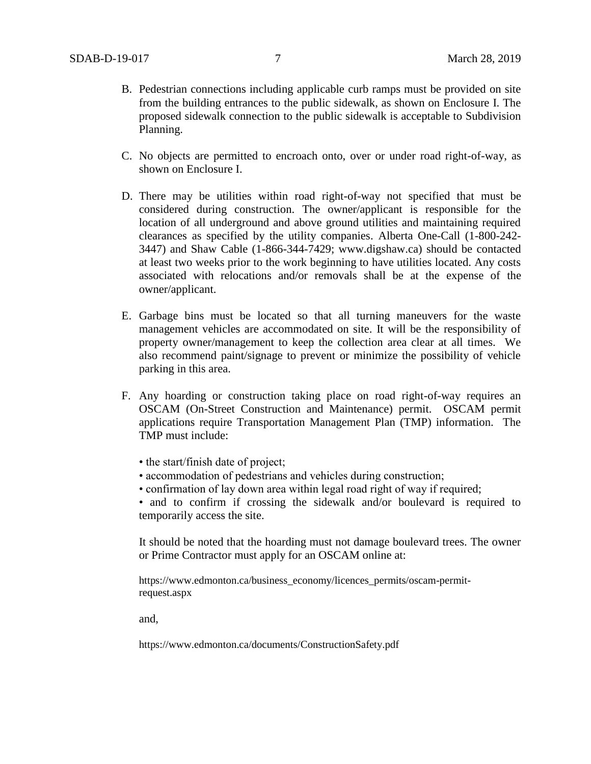- B. Pedestrian connections including applicable curb ramps must be provided on site from the building entrances to the public sidewalk, as shown on Enclosure I. The proposed sidewalk connection to the public sidewalk is acceptable to Subdivision Planning.
- C. No objects are permitted to encroach onto, over or under road right-of-way, as shown on Enclosure I.
- D. There may be utilities within road right-of-way not specified that must be considered during construction. The owner/applicant is responsible for the location of all underground and above ground utilities and maintaining required clearances as specified by the utility companies. Alberta One-Call (1-800-242- 3447) and Shaw Cable (1-866-344-7429; www.digshaw.ca) should be contacted at least two weeks prior to the work beginning to have utilities located. Any costs associated with relocations and/or removals shall be at the expense of the owner/applicant.
- E. Garbage bins must be located so that all turning maneuvers for the waste management vehicles are accommodated on site. It will be the responsibility of property owner/management to keep the collection area clear at all times. We also recommend paint/signage to prevent or minimize the possibility of vehicle parking in this area.
- F. Any hoarding or construction taking place on road right-of-way requires an OSCAM (On-Street Construction and Maintenance) permit. OSCAM permit applications require Transportation Management Plan (TMP) information. The TMP must include:
	- the start/finish date of project;
	- accommodation of pedestrians and vehicles during construction;
	- confirmation of lay down area within legal road right of way if required;

• and to confirm if crossing the sidewalk and/or boulevard is required to temporarily access the site.

It should be noted that the hoarding must not damage boulevard trees. The owner or Prime Contractor must apply for an OSCAM online at:

https://www.edmonton.ca/business\_economy/licences\_permits/oscam-permitrequest.aspx

and,

https://www.edmonton.ca/documents/ConstructionSafety.pdf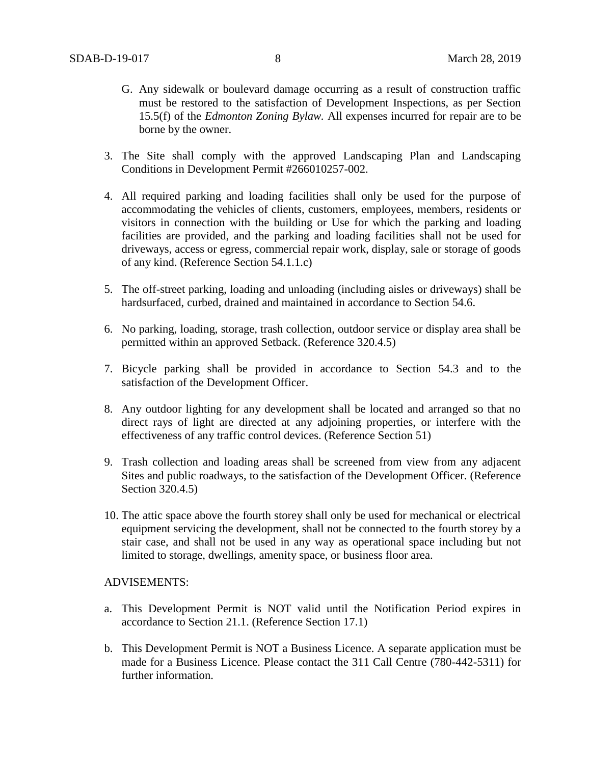- G. Any sidewalk or boulevard damage occurring as a result of construction traffic must be restored to the satisfaction of Development Inspections, as per Section 15.5(f) of the *Edmonton Zoning Bylaw.* All expenses incurred for repair are to be borne by the owner.
- 3. The Site shall comply with the approved Landscaping Plan and Landscaping Conditions in Development Permit #266010257-002.
- 4. All required parking and loading facilities shall only be used for the purpose of accommodating the vehicles of clients, customers, employees, members, residents or visitors in connection with the building or Use for which the parking and loading facilities are provided, and the parking and loading facilities shall not be used for driveways, access or egress, commercial repair work, display, sale or storage of goods of any kind. (Reference Section 54.1.1.c)
- 5. The off-street parking, loading and unloading (including aisles or driveways) shall be hardsurfaced, curbed, drained and maintained in accordance to Section 54.6.
- 6. No parking, loading, storage, trash collection, outdoor service or display area shall be permitted within an approved Setback. (Reference 320.4.5)
- 7. Bicycle parking shall be provided in accordance to Section 54.3 and to the satisfaction of the Development Officer.
- 8. Any outdoor lighting for any development shall be located and arranged so that no direct rays of light are directed at any adjoining properties, or interfere with the effectiveness of any traffic control devices. (Reference Section 51)
- 9. Trash collection and loading areas shall be screened from view from any adjacent Sites and public roadways, to the satisfaction of the Development Officer. (Reference Section 320.4.5)
- 10. The attic space above the fourth storey shall only be used for mechanical or electrical equipment servicing the development, shall not be connected to the fourth storey by a stair case, and shall not be used in any way as operational space including but not limited to storage, dwellings, amenity space, or business floor area.

#### ADVISEMENTS:

- a. This Development Permit is NOT valid until the Notification Period expires in accordance to Section 21.1. (Reference Section 17.1)
- b. This Development Permit is NOT a Business Licence. A separate application must be made for a Business Licence. Please contact the 311 Call Centre (780-442-5311) for further information.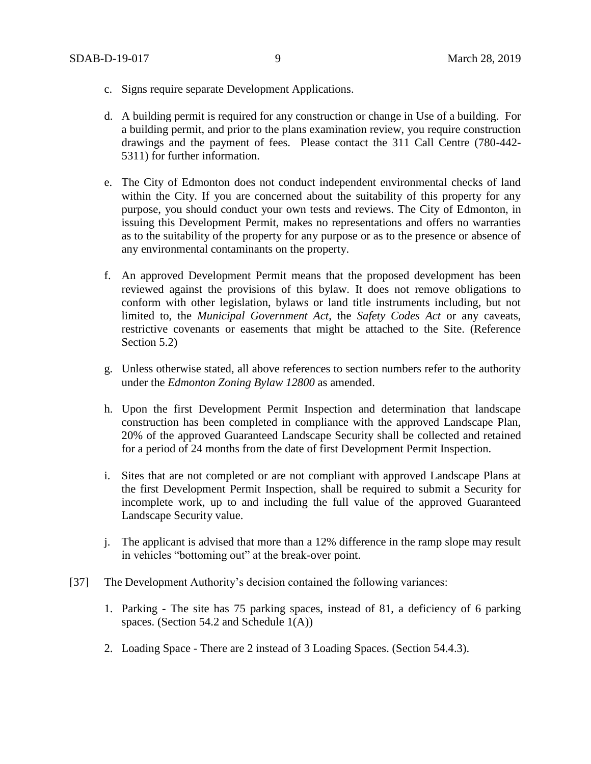- c. Signs require separate Development Applications.
- d. A building permit is required for any construction or change in Use of a building. For a building permit, and prior to the plans examination review, you require construction drawings and the payment of fees. Please contact the 311 Call Centre (780-442- 5311) for further information.
- e. The City of Edmonton does not conduct independent environmental checks of land within the City. If you are concerned about the suitability of this property for any purpose, you should conduct your own tests and reviews. The City of Edmonton, in issuing this Development Permit, makes no representations and offers no warranties as to the suitability of the property for any purpose or as to the presence or absence of any environmental contaminants on the property.
- f. An approved Development Permit means that the proposed development has been reviewed against the provisions of this bylaw. It does not remove obligations to conform with other legislation, bylaws or land title instruments including, but not limited to, the *Municipal Government Act*, the *Safety Codes Act* or any caveats, restrictive covenants or easements that might be attached to the Site. (Reference Section 5.2)
- g. Unless otherwise stated, all above references to section numbers refer to the authority under the *Edmonton Zoning Bylaw 12800* as amended.
- h. Upon the first Development Permit Inspection and determination that landscape construction has been completed in compliance with the approved Landscape Plan, 20% of the approved Guaranteed Landscape Security shall be collected and retained for a period of 24 months from the date of first Development Permit Inspection.
- i. Sites that are not completed or are not compliant with approved Landscape Plans at the first Development Permit Inspection, shall be required to submit a Security for incomplete work, up to and including the full value of the approved Guaranteed Landscape Security value.
- j. The applicant is advised that more than a 12% difference in the ramp slope may result in vehicles "bottoming out" at the break-over point.
- [37] The Development Authority's decision contained the following variances:
	- 1. Parking The site has 75 parking spaces, instead of 81, a deficiency of 6 parking spaces. (Section 54.2 and Schedule 1(A))
	- 2. Loading Space There are 2 instead of 3 Loading Spaces. (Section 54.4.3).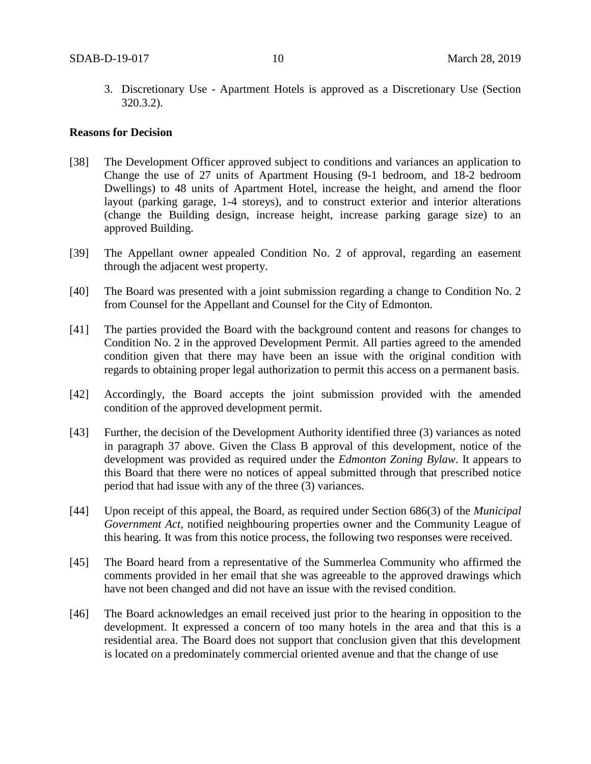3. Discretionary Use - Apartment Hotels is approved as a Discretionary Use (Section 320.3.2).

#### **Reasons for Decision**

- [38] The Development Officer approved subject to conditions and variances an application to Change the use of 27 units of Apartment Housing (9-1 bedroom, and 18-2 bedroom Dwellings) to 48 units of Apartment Hotel, increase the height, and amend the floor layout (parking garage, 1-4 storeys), and to construct exterior and interior alterations (change the Building design, increase height, increase parking garage size) to an approved Building.
- [39] The Appellant owner appealed Condition No. 2 of approval, regarding an easement through the adjacent west property.
- [40] The Board was presented with a joint submission regarding a change to Condition No. 2 from Counsel for the Appellant and Counsel for the City of Edmonton.
- [41] The parties provided the Board with the background content and reasons for changes to Condition No. 2 in the approved Development Permit. All parties agreed to the amended condition given that there may have been an issue with the original condition with regards to obtaining proper legal authorization to permit this access on a permanent basis.
- [42] Accordingly, the Board accepts the joint submission provided with the amended condition of the approved development permit.
- [43] Further, the decision of the Development Authority identified three (3) variances as noted in paragraph 37 above. Given the Class B approval of this development, notice of the development was provided as required under the *Edmonton Zoning Bylaw*. It appears to this Board that there were no notices of appeal submitted through that prescribed notice period that had issue with any of the three (3) variances.
- [44] Upon receipt of this appeal, the Board, as required under Section 686(3) of the *Municipal Government Act*, notified neighbouring properties owner and the Community League of this hearing. It was from this notice process, the following two responses were received.
- [45] The Board heard from a representative of the Summerlea Community who affirmed the comments provided in her email that she was agreeable to the approved drawings which have not been changed and did not have an issue with the revised condition.
- [46] The Board acknowledges an email received just prior to the hearing in opposition to the development. It expressed a concern of too many hotels in the area and that this is a residential area. The Board does not support that conclusion given that this development is located on a predominately commercial oriented avenue and that the change of use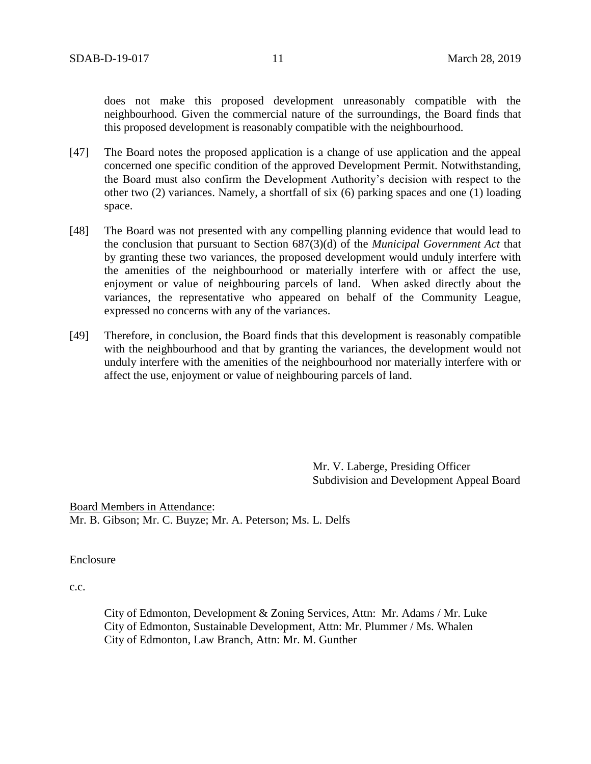does not make this proposed development unreasonably compatible with the neighbourhood. Given the commercial nature of the surroundings, the Board finds that this proposed development is reasonably compatible with the neighbourhood.

- [47] The Board notes the proposed application is a change of use application and the appeal concerned one specific condition of the approved Development Permit. Notwithstanding, the Board must also confirm the Development Authority's decision with respect to the other two (2) variances. Namely, a shortfall of six (6) parking spaces and one (1) loading space.
- [48] The Board was not presented with any compelling planning evidence that would lead to the conclusion that pursuant to Section 687(3)(d) of the *Municipal Government Act* that by granting these two variances, the proposed development would unduly interfere with the amenities of the neighbourhood or materially interfere with or affect the use, enjoyment or value of neighbouring parcels of land. When asked directly about the variances, the representative who appeared on behalf of the Community League, expressed no concerns with any of the variances.
- [49] Therefore, in conclusion, the Board finds that this development is reasonably compatible with the neighbourhood and that by granting the variances, the development would not unduly interfere with the amenities of the neighbourhood nor materially interfere with or affect the use, enjoyment or value of neighbouring parcels of land.

Mr. V. Laberge, Presiding Officer Subdivision and Development Appeal Board

Board Members in Attendance: Mr. B. Gibson; Mr. C. Buyze; Mr. A. Peterson; Ms. L. Delfs

Enclosure

c.c.

City of Edmonton, Development & Zoning Services, Attn: Mr. Adams / Mr. Luke City of Edmonton, Sustainable Development, Attn: Mr. Plummer / Ms. Whalen City of Edmonton, Law Branch, Attn: Mr. M. Gunther